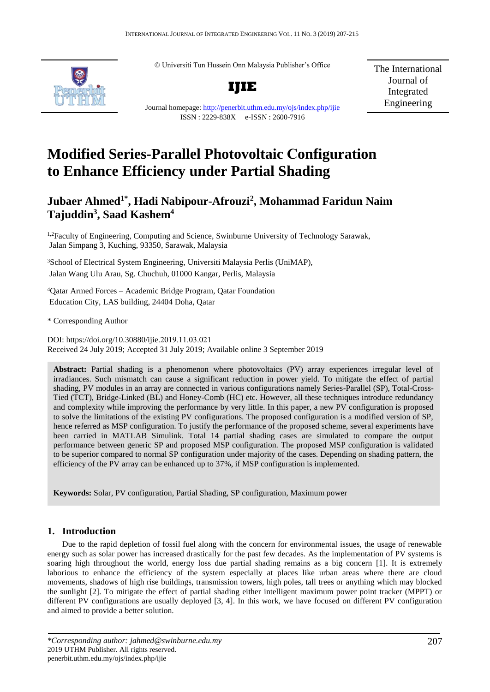© Universiti Tun Hussein Onn Malaysia Publisher's Office



**IJIE**

The International Journal of Integrated Engineering

Journal homepage:<http://penerbit.uthm.edu.my/ojs/index.php/ijie> ISSN : 2229-838X e-ISSN : 2600-7916

# **Modified Series-Parallel Photovoltaic Configuration to Enhance Efficiency under Partial Shading**

# **Jubaer Ahmed1\* , Hadi Nabipour-Afrouzi<sup>2</sup> , Mohammad Faridun Naim Tajuddin<sup>3</sup> , Saad Kashem<sup>4</sup>**

<sup>1,2</sup>Faculty of Engineering, Computing and Science, Swinburne University of Technology Sarawak, Jalan Simpang 3, Kuching, 93350, Sarawak, Malaysia

<sup>3</sup>School of Electrical System Engineering, Universiti Malaysia Perlis (UniMAP), Jalan Wang Ulu Arau, Sg. Chuchuh, 01000 Kangar, Perlis, Malaysia

<sup>4</sup>Qatar Armed Forces – Academic Bridge Program, Qatar Foundation Education City, LAS building, 24404 Doha, Qatar

\* Corresponding Author

DOI: https://doi.org/10.30880/ijie.2019.11.03.021 Received 24 July 2019; Accepted 31 July 2019; Available online 3 September 2019

**Abstract:** Partial shading is a phenomenon where photovoltaics (PV) array experiences irregular level of irradiances. Such mismatch can cause a significant reduction in power yield. To mitigate the effect of partial shading, PV modules in an array are connected in various configurations namely Series-Parallel (SP), Total-Cross-Tied (TCT), Bridge-Linked (BL) and Honey-Comb (HC) etc. However, all these techniques introduce redundancy and complexity while improving the performance by very little. In this paper, a new PV configuration is proposed to solve the limitations of the existing PV configurations. The proposed configuration is a modified version of SP, hence referred as MSP configuration. To justify the performance of the proposed scheme, several experiments have been carried in MATLAB Simulink. Total 14 partial shading cases are simulated to compare the output performance between generic SP and proposed MSP configuration. The proposed MSP configuration is validated to be superior compared to normal SP configuration under majority of the cases. Depending on shading pattern, the efficiency of the PV array can be enhanced up to 37%, if MSP configuration is implemented.

**Keywords:** Solar, PV configuration, Partial Shading, SP configuration, Maximum power

## **1. Introduction**

Due to the rapid depletion of fossil fuel along with the concern for environmental issues, the usage of renewable energy such as solar power has increased drastically for the past few decades. As the implementation of PV systems is soaring high throughout the world, energy loss due partial shading remains as a big concern [1]. It is extremely laborious to enhance the efficiency of the system especially at places like urban areas where there are cloud movements, shadows of high rise buildings, transmission towers, high poles, tall trees or anything which may blocked the sunlight [2]. To mitigate the effect of partial shading either intelligent maximum power point tracker (MPPT) or different PV configurations are usually deployed [3, 4]. In this work, we have focused on different PV configuration and aimed to provide a better solution.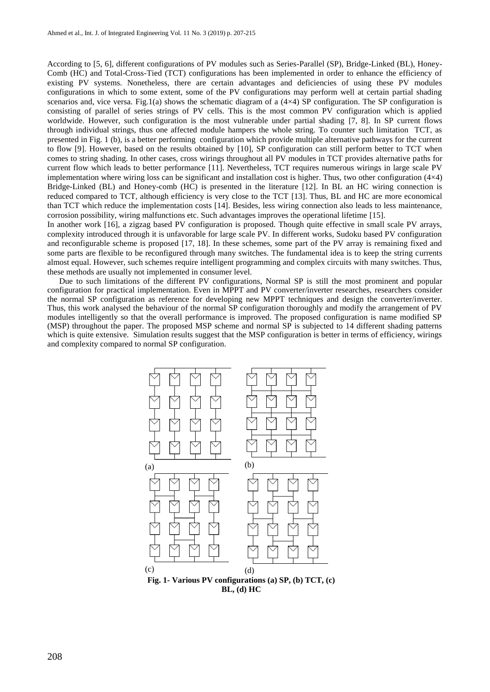According to [5, 6], different configurations of PV modules such as Series-Parallel (SP), Bridge-Linked (BL), Honey-Comb (HC) and Total-Cross-Tied (TCT) configurations has been implemented in order to enhance the efficiency of existing PV systems. Nonetheless, there are certain advantages and deficiencies of using these PV modules configurations in which to some extent, some of the PV configurations may perform well at certain partial shading scenarios and, vice versa. Fig.1(a) shows the schematic diagram of a  $(4\times4)$  SP configuration. The SP configuration is consisting of parallel of series strings of PV cells. This is the most common PV configuration which is applied worldwide. However, such configuration is the most vulnerable under partial shading [7, 8]. In SP current flows through individual strings, thus one affected module hampers the whole string. To counter such limitation TCT, as presented in Fig. 1 (b), is a better performing configuration which provide multiple alternative pathways for the current to flow [9]. However, based on the results obtained by [10], SP configuration can still perform better to TCT when comes to string shading. In other cases, cross wirings throughout all PV modules in TCT provides alternative paths for current flow which leads to better performance [11]. Nevertheless, TCT requires numerous wirings in large scale PV implementation where wiring loss can be significant and installation cost is higher. Thus, two other configuration  $(4\times4)$ Bridge-Linked (BL) and Honey-comb (HC) is presented in the literature [12]. In BL an HC wiring connection is reduced compared to TCT, although efficiency is very close to the TCT [13]. Thus, BL and HC are more economical than TCT which reduce the implementation costs [14]. Besides, less wiring connection also leads to less maintenance, corrosion possibility, wiring malfunctions etc. Such advantages improves the operational lifetime [15].

In another work [16], a zigzag based PV configuration is proposed. Though quite effective in small scale PV arrays, complexity introduced through it is unfavorable for large scale PV. In different works, Sudoku based PV configuration and reconfigurable scheme is proposed [17, 18]. In these schemes, some part of the PV array is remaining fixed and some parts are flexible to be reconfigured through many switches. The fundamental idea is to keep the string currents almost equal. However, such schemes require intelligent programming and complex circuits with many switches. Thus, these methods are usually not implemented in consumer level.

Due to such limitations of the different PV configurations, Normal SP is still the most prominent and popular configuration for practical implementation. Even in MPPT and PV converter/inverter researches, researchers consider the normal SP configuration as reference for developing new MPPT techniques and design the converter/inverter. Thus, this work analysed the behaviour of the normal SP configuration thoroughly and modify the arrangement of PV modules intelligently so that the overall performance is improved. The proposed configuration is name modified SP (MSP) throughout the paper. The proposed MSP scheme and normal SP is subjected to 14 different shading patterns which is quite extensive. Simulation results suggest that the MSP configuration is better in terms of efficiency, wirings and complexity compared to normal SP configuration.



**Fig. 1- Various PV configurations (a) SP, (b) TCT, (c) BL, (d) HC**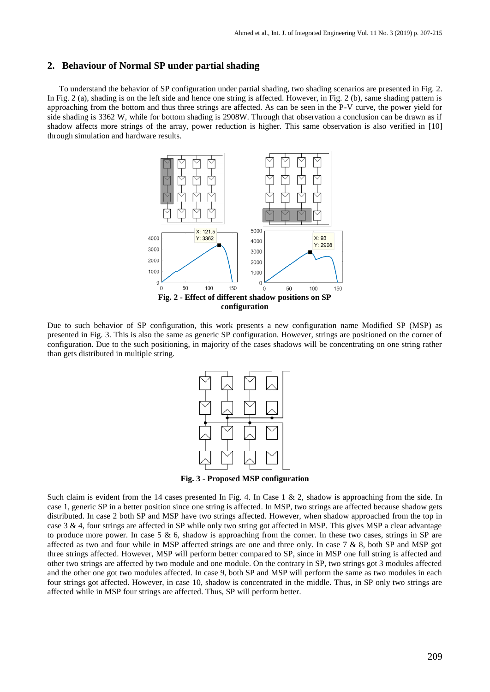#### **2. Behaviour of Normal SP under partial shading**

To understand the behavior of SP configuration under partial shading, two shading scenarios are presented in Fig. 2. In Fig. 2 (a), shading is on the left side and hence one string is affected. However, in Fig. 2 (b), same shading pattern is approaching from the bottom and thus three strings are affected. As can be seen in the P-V curve, the power yield for side shading is 3362 W, while for bottom shading is 2908W. Through that observation a conclusion can be drawn as if shadow affects more strings of the array, power reduction is higher. This same observation is also verified in [10] through simulation and hardware results.



Due to such behavior of SP configuration, this work presents a new configuration name Modified SP (MSP) as presented in Fig. 3. This is also the same as generic SP configuration. However, strings are positioned on the corner of configuration. Due to the such positioning, in majority of the cases shadows will be concentrating on one string rather than gets distributed in multiple string.



**Fig. 3 - Proposed MSP configuration**

Such claim is evident from the 14 cases presented In Fig. 4. In Case 1 & 2, shadow is approaching from the side. In case 1, generic SP in a better position since one string is affected. In MSP, two strings are affected because shadow gets distributed. In case 2 both SP and MSP have two strings affected. However, when shadow approached from the top in case 3 & 4, four strings are affected in SP while only two string got affected in MSP. This gives MSP a clear advantage to produce more power. In case 5  $\&$  6, shadow is approaching from the corner. In these two cases, strings in SP are affected as two and four while in MSP affected strings are one and three only. In case  $7 & 8$ , both SP and MSP got three strings affected. However, MSP will perform better compared to SP, since in MSP one full string is affected and other two strings are affected by two module and one module. On the contrary in SP, two strings got 3 modules affected and the other one got two modules affected. In case 9, both SP and MSP will perform the same as two modules in each four strings got affected. However, in case 10, shadow is concentrated in the middle. Thus, in SP only two strings are affected while in MSP four strings are affected. Thus, SP will perform better.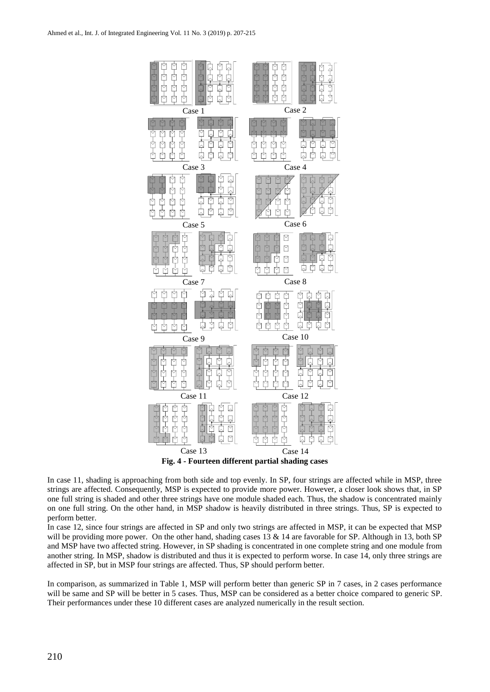

In case 11, shading is approaching from both side and top evenly. In SP, four strings are affected while in MSP, three strings are affected. Consequently, MSP is expected to provide more power. However, a closer look shows that, in SP one full string is shaded and other three strings have one module shaded each. Thus, the shadow is concentrated mainly on one full string. On the other hand, in MSP shadow is heavily distributed in three strings. Thus, SP is expected to perform better.

In case 12, since four strings are affected in SP and only two strings are affected in MSP, it can be expected that MSP will be providing more power. On the other hand, shading cases 13  $\&$  14 are favorable for SP. Although in 13, both SP and MSP have two affected string. However, in SP shading is concentrated in one complete string and one module from another string. In MSP, shadow is distributed and thus it is expected to perform worse. In case 14, only three strings are affected in SP, but in MSP four strings are affected. Thus, SP should perform better.

In comparison, as summarized in Table 1, MSP will perform better than generic SP in 7 cases, in 2 cases performance will be same and SP will be better in 5 cases. Thus, MSP can be considered as a better choice compared to generic SP. Their performances under these 10 different cases are analyzed numerically in the result section.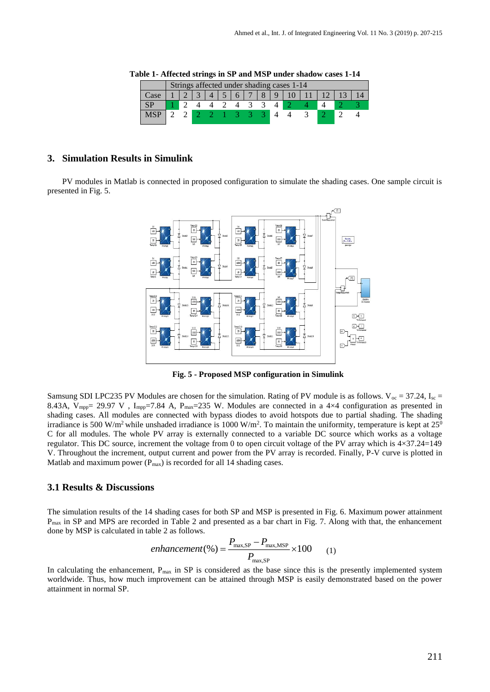|       | Strings affected under shading cases 1-14 |  |           |  |  |      |                |   |             |  |  |  |
|-------|-------------------------------------------|--|-----------|--|--|------|----------------|---|-------------|--|--|--|
| Case: |                                           |  | $\bigcap$ |  |  |      | $\overline{7}$ | 8 | $\mathbf Q$ |  |  |  |
|       |                                           |  |           |  |  |      |                |   |             |  |  |  |
|       |                                           |  |           |  |  | $-3$ | <b>431</b>     |   |             |  |  |  |
|       |                                           |  |           |  |  |      |                |   |             |  |  |  |

**Table 1- Affected strings in SP and MSP under shadow cases 1-14**

#### **3. Simulation Results in Simulink**

PV modules in Matlab is connected in proposed configuration to simulate the shading cases. One sample circuit is presented in Fig. 5.



**Fig. 5 - Proposed MSP configuration in Simulink**

Samsung SDI LPC235 PV Modules are chosen for the simulation. Rating of PV module is as follows.  $V_{\text{oc}} = 37.24$ , I<sub>sc</sub> 8.43A,  $V_{\text{mpp}}$  29.97 V,  $I_{\text{mpp}}$  = 7.84 A,  $P_{\text{max}}$  = 235 W. Modules are connected in a 4×4 configuration as presented in shading cases. All modules are connected with bypass diodes to avoid hotspots due to partial shading. The shading irradiance is 500 W/m<sup>2</sup> while unshaded irradiance is 1000 W/m<sup>2</sup>. To maintain the uniformity, temperature is kept at  $25^{\circ}$ C for all modules. The whole PV array is externally connected to a variable DC source which works as a voltage regulator. This DC source, increment the voltage from 0 to open circuit voltage of the PV array which is 4×37.24=149 V. Throughout the increment, output current and power from the PV array is recorded. Finally, P-V curve is plotted in Matlab and maximum power  $(P_{max})$  is recorded for all 14 shading cases.

#### **3.1 Results & Discussions**

The simulation results of the 14 shading cases for both SP and MSP is presented in Fig. 6. Maximum power attainment Pmax in SP and MPS are recorded in Table 2 and presented as a bar chart in Fig. 7. Along with that, the enhancement done by MSP is calculated in table 2 as follows.

$$
enhancement(\%) = \frac{P_{\text{max,SP}} - P_{\text{max,MSP}}}{P_{\text{max,SP}}} \times 100 \tag{1}
$$

In calculating the enhancement, P<sub>max</sub> in SP is considered as the base since this is the presently implemented system worldwide. Thus, how much improvement can be attained through MSP is easily demonstrated based on the power attainment in normal SP.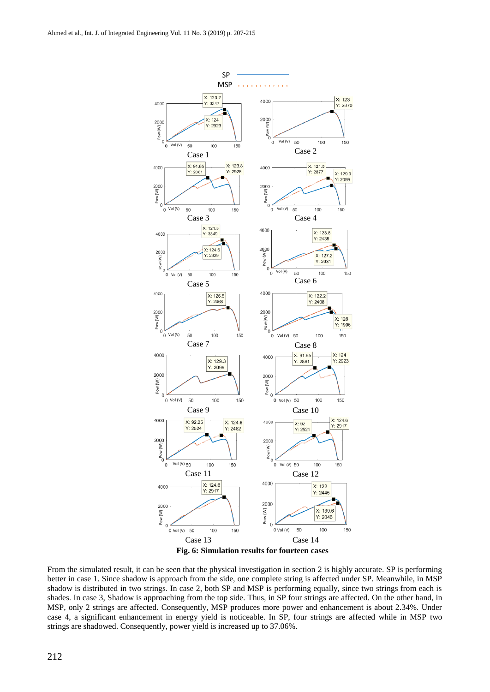

**Fig. 6: Simulation results for fourteen cases**

From the simulated result, it can be seen that the physical investigation in section 2 is highly accurate. SP is performing better in case 1. Since shadow is approach from the side, one complete string is affected under SP. Meanwhile, in MSP shadow is distributed in two strings. In case 2, both SP and MSP is performing equally, since two strings from each is shades. In case 3, Shadow is approaching from the top side. Thus, in SP four strings are affected. On the other hand, in MSP, only 2 strings are affected. Consequently, MSP produces more power and enhancement is about 2.34%. Under case 4, a significant enhancement in energy yield is noticeable. In SP, four strings are affected while in MSP two strings are shadowed. Consequently, power yield is increased up to 37.06%.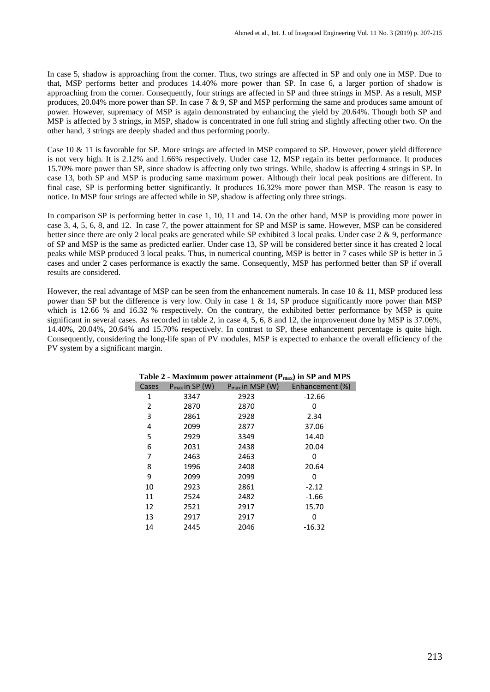In case 5, shadow is approaching from the corner. Thus, two strings are affected in SP and only one in MSP. Due to that, MSP performs better and produces 14.40% more power than SP. In case 6, a larger portion of shadow is approaching from the corner. Consequently, four strings are affected in SP and three strings in MSP. As a result, MSP produces, 20.04% more power than SP. In case 7 & 9, SP and MSP performing the same and produces same amount of power. However, supremacy of MSP is again demonstrated by enhancing the yield by 20.64%. Though both SP and MSP is affected by 3 strings, in MSP, shadow is concentrated in one full string and slightly affecting other two. On the other hand, 3 strings are deeply shaded and thus performing poorly.

Case 10 & 11 is favorable for SP. More strings are affected in MSP compared to SP. However, power yield difference is not very high. It is 2.12% and 1.66% respectively. Under case 12, MSP regain its better performance. It produces 15.70% more power than SP, since shadow is affecting only two strings. While, shadow is affecting 4 strings in SP. In case 13, both SP and MSP is producing same maximum power. Although their local peak positions are different. In final case, SP is performing better significantly. It produces 16.32% more power than MSP. The reason is easy to notice. In MSP four strings are affected while in SP, shadow is affecting only three strings.

In comparison SP is performing better in case 1, 10, 11 and 14. On the other hand, MSP is providing more power in case 3, 4, 5, 6, 8, and 12. In case 7, the power attainment for SP and MSP is same. However, MSP can be considered better since there are only 2 local peaks are generated while SP exhibited 3 local peaks. Under case 2 & 9, performance of SP and MSP is the same as predicted earlier. Under case 13, SP will be considered better since it has created 2 local peaks while MSP produced 3 local peaks. Thus, in numerical counting, MSP is better in 7 cases while SP is better in 5 cases and under 2 cases performance is exactly the same. Consequently, MSP has performed better than SP if overall results are considered.

However, the real advantage of MSP can be seen from the enhancement numerals. In case 10  $\&$  11, MSP produced less power than SP but the difference is very low. Only in case 1 & 14, SP produce significantly more power than MSP which is 12.66 % and 16.32 % respectively. On the contrary, the exhibited better performance by MSP is quite significant in several cases. As recorded in table 2, in case 4, 5, 6, 8 and 12, the improvement done by MSP is 37.06%. 14.40%, 20.04%, 20.64% and 15.70% respectively. In contrast to SP, these enhancement percentage is quite high. Consequently, considering the long-life span of PV modules, MSP is expected to enhance the overall efficiency of the PV system by a significant margin.

| Table 2 - Maximum power attainment $(P_{max})$ in SP and MPS |                     |      |                                      |  |  |  |  |  |
|--------------------------------------------------------------|---------------------|------|--------------------------------------|--|--|--|--|--|
| Cases                                                        | $P_{max}$ in SP (W) |      | $P_{max}$ in MSP (W) Enhancement (%) |  |  |  |  |  |
| 1                                                            | 3347                | 2923 | $-12.66$                             |  |  |  |  |  |
| 2                                                            | 2870                | 2870 | 0                                    |  |  |  |  |  |
| 3                                                            | 2861                | 2928 | 2.34                                 |  |  |  |  |  |
| 4                                                            | 2099                | 2877 | 37.06                                |  |  |  |  |  |
| 5                                                            | 2929                | 3349 | 14.40                                |  |  |  |  |  |
| 6                                                            | 2031                | 2438 | 20.04                                |  |  |  |  |  |
| 7                                                            | 2463                | 2463 | 0                                    |  |  |  |  |  |
| 8                                                            | 1996                | 2408 | 20.64                                |  |  |  |  |  |
| 9                                                            | 2099                | 2099 | 0                                    |  |  |  |  |  |
| 10                                                           | 2923                | 2861 | $-2.12$                              |  |  |  |  |  |
| 11                                                           | 2524                | 2482 | $-1.66$                              |  |  |  |  |  |
| 12                                                           | 2521                | 2917 | 15.70                                |  |  |  |  |  |
| 13                                                           | 2917                | 2917 | 0                                    |  |  |  |  |  |
| 14                                                           | 2445                | 2046 | $-16.32$                             |  |  |  |  |  |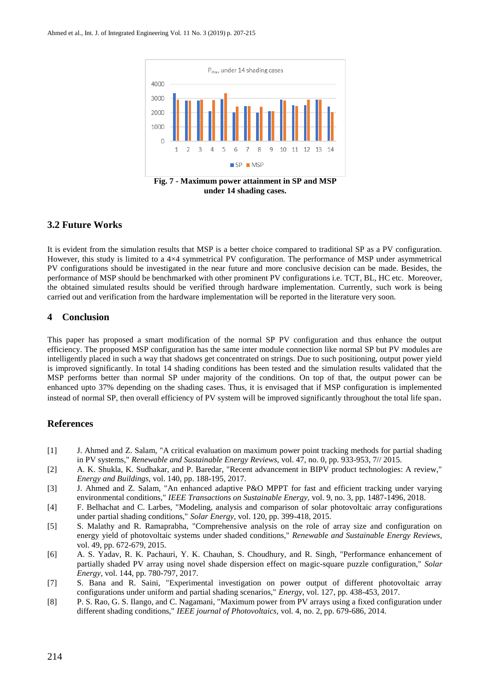

### **3.2 Future Works**

It is evident from the simulation results that MSP is a better choice compared to traditional SP as a PV configuration. However, this study is limited to a 4×4 symmetrical PV configuration. The performance of MSP under asymmetrical PV configurations should be investigated in the near future and more conclusive decision can be made. Besides, the performance of MSP should be benchmarked with other prominent PV configurations i.e. TCT, BL, HC etc. Moreover, the obtained simulated results should be verified through hardware implementation. Currently, such work is being carried out and verification from the hardware implementation will be reported in the literature very soon.

### **4 Conclusion**

This paper has proposed a smart modification of the normal SP PV configuration and thus enhance the output efficiency. The proposed MSP configuration has the same inter module connection like normal SP but PV modules are intelligently placed in such a way that shadows get concentrated on strings. Due to such positioning, output power yield is improved significantly. In total 14 shading conditions has been tested and the simulation results validated that the MSP performs better than normal SP under majority of the conditions. On top of that, the output power can be enhanced upto 37% depending on the shading cases. Thus, it is envisaged that if MSP configuration is implemented instead of normal SP, then overall efficiency of PV system will be improved significantly throughout the total life span.

#### **References**

- [1] J. Ahmed and Z. Salam, "A critical evaluation on maximum power point tracking methods for partial shading in PV systems," *Renewable and Sustainable Energy Reviews,* vol. 47, no. 0, pp. 933-953, 7// 2015.
- [2] A. K. Shukla, K. Sudhakar, and P. Baredar, "Recent advancement in BIPV product technologies: A review," *Energy and Buildings,* vol. 140, pp. 188-195, 2017.
- [3] J. Ahmed and Z. Salam, "An enhanced adaptive P&O MPPT for fast and efficient tracking under varying environmental conditions," *IEEE Transactions on Sustainable Energy,* vol. 9, no. 3, pp. 1487-1496, 2018.
- [4] F. Belhachat and C. Larbes, "Modeling, analysis and comparison of solar photovoltaic array configurations under partial shading conditions," *Solar Energy,* vol. 120, pp. 399-418, 2015.
- [5] S. Malathy and R. Ramaprabha, "Comprehensive analysis on the role of array size and configuration on energy yield of photovoltaic systems under shaded conditions," *Renewable and Sustainable Energy Reviews,*  vol. 49, pp. 672-679, 2015.
- [6] A. S. Yadav, R. K. Pachauri, Y. K. Chauhan, S. Choudhury, and R. Singh, "Performance enhancement of partially shaded PV array using novel shade dispersion effect on magic-square puzzle configuration," *Solar Energy,* vol. 144, pp. 780-797, 2017.
- [7] S. Bana and R. Saini, "Experimental investigation on power output of different photovoltaic array configurations under uniform and partial shading scenarios," *Energy,* vol. 127, pp. 438-453, 2017.
- [8] P. S. Rao, G. S. Ilango, and C. Nagamani, "Maximum power from PV arrays using a fixed configuration under different shading conditions," *IEEE journal of Photovoltaics,* vol. 4, no. 2, pp. 679-686, 2014.